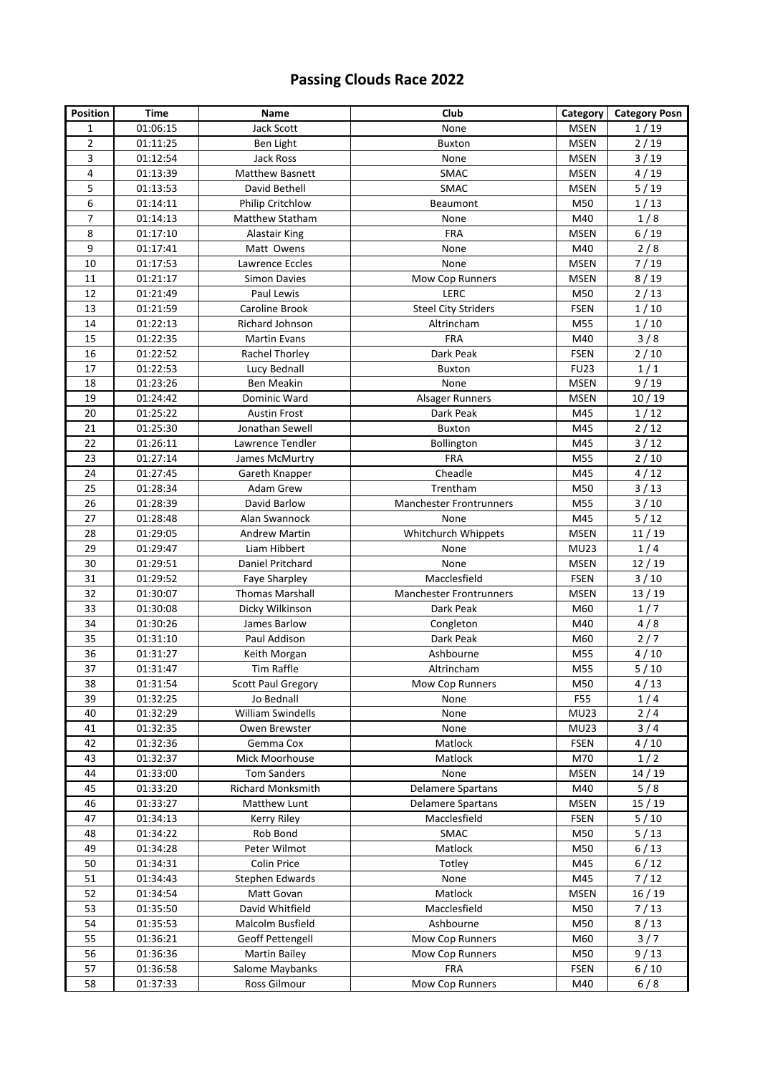## **Passing Clouds Race 2022**

| <b>Position</b> | Time                 | Name                               | Club                              | Category                   | <b>Category Posn</b> |
|-----------------|----------------------|------------------------------------|-----------------------------------|----------------------------|----------------------|
| 1               | 01:06:15             | <b>Jack Scott</b>                  | None                              | <b>MSEN</b>                | 1/19                 |
| 2               | 01:11:25             | Ben Light                          | <b>Buxton</b>                     | <b>MSEN</b>                | 2/19                 |
| 3               | 01:12:54             | Jack Ross                          | None                              | <b>MSEN</b>                | $3/19$               |
| 4               | 01:13:39             | <b>Matthew Basnett</b>             | SMAC                              | <b>MSEN</b>                | 4/19                 |
| 5               | 01:13:53             | David Bethell                      | <b>SMAC</b>                       | <b>MSEN</b>                | 5/19                 |
| 6               | 01:14:11             | Philip Critchlow                   | Beaumont                          | M50                        | 1/13                 |
| $\overline{7}$  | 01:14:13             | Matthew Statham                    | None                              | M40                        | 1/8                  |
| 8               | 01:17:10             | <b>Alastair King</b>               | <b>FRA</b>                        | <b>MSEN</b>                | 6/19                 |
| 9               | 01:17:41             | Matt Owens                         | None                              | M40                        | 2/8                  |
| 10              | 01:17:53             | Lawrence Eccles                    | None                              | <b>MSEN</b>                | 7/19                 |
| 11              | 01:21:17             | <b>Simon Davies</b>                | Mow Cop Runners                   | <b>MSEN</b>                | 8/19                 |
| 12              | 01:21:49             | Paul Lewis                         | LERC                              | M50                        | 2/13                 |
| 13              | 01:21:59             | Caroline Brook                     | <b>Steel City Striders</b>        | <b>FSEN</b>                | 1/10                 |
| 14              | 01:22:13             | Richard Johnson                    | Altrincham                        | M55                        | 1/10                 |
| 15              | 01:22:35             | <b>Martin Evans</b>                | <b>FRA</b>                        | M40                        | 3/8                  |
| 16              | 01:22:52             | Rachel Thorley                     | Dark Peak                         | <b>FSEN</b>                | 2/10                 |
| 17              | 01:22:53             | Lucy Bednall                       | <b>Buxton</b>                     | <b>FU23</b>                | 1/1                  |
| 18              | 01:23:26             | Ben Meakin                         | None                              | <b>MSEN</b>                | 9/19                 |
| 19              | 01:24:42             | Dominic Ward                       | Alsager Runners                   | <b>MSEN</b>                | 10/19                |
| 20              | 01:25:22             | <b>Austin Frost</b>                | Dark Peak                         | M45                        | 1/12                 |
| 21              | 01:25:30             | Jonathan Sewell                    | <b>Buxton</b>                     | M45                        | 2/12                 |
| 22              | 01:26:11             | Lawrence Tendler                   | Bollington                        | M45                        | $3/12$               |
| 23              | 01:27:14             | James McMurtry                     | <b>FRA</b>                        | M55                        | 2/10                 |
| 24              | 01:27:45             | Gareth Knapper                     | Cheadle                           | M45                        | 4/12                 |
| 25              | 01:28:34             | Adam Grew                          | Trentham                          | M50                        | 3/13                 |
| 26              | 01:28:39             | David Barlow                       | <b>Manchester Frontrunners</b>    | M55                        | 3/10                 |
| 27              | 01:28:48             | Alan Swannock                      | None                              | M45                        | $5/12$               |
| 28              | 01:29:05             | <b>Andrew Martin</b>               | Whitchurch Whippets               | <b>MSEN</b>                | 11/19                |
| 29              | 01:29:47             | Liam Hibbert                       | None                              | <b>MU23</b>                | 1/4                  |
| 30              | 01:29:51             | Daniel Pritchard                   | None                              | <b>MSEN</b>                | 12/19                |
| 31              | 01:29:52             | Faye Sharpley                      | Macclesfield                      | <b>FSEN</b>                | 3/10                 |
| 32              | 01:30:07             | <b>Thomas Marshall</b>             | <b>Manchester Frontrunners</b>    | MSEN                       | 13/19                |
| 33              | 01:30:08             | Dicky Wilkinson                    | Dark Peak                         | M60                        | 1/7                  |
| 34              | 01:30:26             | James Barlow                       | Congleton                         | M40                        | 4/8                  |
| 35              | 01:31:10             | Paul Addison                       | Dark Peak                         | M60                        | 2/7                  |
| 36              | 01:31:27             | Keith Morgan                       | Ashbourne                         | M55                        | 4/10                 |
| 37              | 01:31:47             | Tim Raffle                         | Altrincham                        | M55                        | 5/10                 |
| 38              | 01:31:54             | <b>Scott Paul Gregory</b>          | Mow Cop Runners                   | M50                        | 4/13                 |
| 39              | 01:32:25             | Jo Bednall                         | None                              | F55                        | 1/4                  |
| 40              | 01:32:29             | William Swindells                  | None                              | <b>MU23</b>                | 2/4                  |
| 41              | 01:32:35             | Owen Brewster                      | None                              | <b>MU23</b>                | 3/4                  |
| 42              | 01:32:36             | Gemma Cox                          | Matlock                           | <b>FSEN</b>                | 4/10                 |
| 43              | 01:32:37             | Mick Moorhouse                     | Matlock                           | M70                        | 1/2                  |
| 44<br>45        | 01:33:00             | <b>Tom Sanders</b>                 | None<br><b>Delamere Spartans</b>  | MSEN<br>M40                | 14/19<br>5/8         |
|                 | 01:33:20             | Richard Monksmith                  |                                   |                            |                      |
| 46<br>47        | 01:33:27<br>01:34:13 | Matthew Lunt<br><b>Kerry Riley</b> | Delamere Spartans<br>Macclesfield | <b>MSEN</b><br><b>FSEN</b> | 15 / 19<br>$5/10$    |
| 48              |                      | Rob Bond                           |                                   | M50                        | 5/13                 |
| 49              | 01:34:22<br>01:34:28 | Peter Wilmot                       | SMAC<br>Matlock                   | M50                        | 6/13                 |
| 50              | 01:34:31             | Colin Price                        | Totley                            | M45                        | 6/12                 |
| 51              | 01:34:43             | Stephen Edwards                    | None                              | M45                        | 7/12                 |
| 52              | 01:34:54             | Matt Govan                         | Matlock                           | <b>MSEN</b>                | 16/19                |
| 53              | 01:35:50             | David Whitfield                    | Macclesfield                      | M50                        | 7/13                 |
| 54              | 01:35:53             | Malcolm Busfield                   | Ashbourne                         | M50                        | 8/13                 |
| 55              | 01:36:21             | Geoff Pettengell                   | Mow Cop Runners                   | M60                        | 3/7                  |
| 56              | 01:36:36             | <b>Martin Bailey</b>               | Mow Cop Runners                   | M50                        | 9/13                 |
| 57              | 01:36:58             | Salome Maybanks                    | <b>FRA</b>                        | <b>FSEN</b>                | $6/10$               |
| 58              | 01:37:33             | Ross Gilmour                       | Mow Cop Runners                   | M40                        | 6/8                  |
|                 |                      |                                    |                                   |                            |                      |